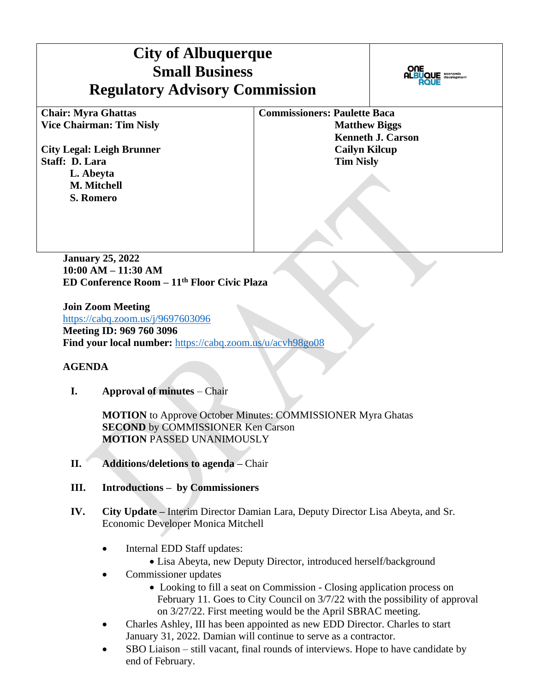# **City of Albuquerque Small Business Regulatory Advisory Commission**



**Chair: Myra Ghattas Vice Chairman: Tim Nisly** 

**City Legal: Leigh Brunner Staff: D. Lara L. Abeyta M. Mitchell S. Romero** 

**Commissioners: Paulette Baca Matthew Biggs Kenneth J. Carson Cailyn Kilcup Tim Nisly** 

**January 25, 2022 10:00 AM – 11:30 AM ED Conference Room – 11th Floor Civic Plaza** 

**Join Zoom Meeting** <https://cabq.zoom.us/j/9697603096> **Meeting ID: 969 760 3096 Find your local number:** <https://cabq.zoom.us/u/acvh98go08>

### **AGENDA**

**I. Approval of minutes** – Chair

**MOTION** to Approve October Minutes: COMMISSIONER Myra Ghatas **SECOND** by COMMISSIONER Ken Carson **MOTION** PASSED UNANIMOUSLY

- **II. Additions/deletions to agenda –** Chair
- **III. Introductions – by Commissioners**
- **IV. City Update –** Interim Director Damian Lara, Deputy Director Lisa Abeyta, and Sr. Economic Developer Monica Mitchell
	- Internal EDD Staff updates:
		- Lisa Abeyta, new Deputy Director, introduced herself/background
	- Commissioner updates
		- Looking to fill a seat on Commission Closing application process on February 11. Goes to City Council on 3/7/22 with the possibility of approval on 3/27/22. First meeting would be the April SBRAC meeting.
	- Charles Ashley, III has been appointed as new EDD Director. Charles to start January 31, 2022. Damian will continue to serve as a contractor.
	- SBO Liaison still vacant, final rounds of interviews. Hope to have candidate by end of February.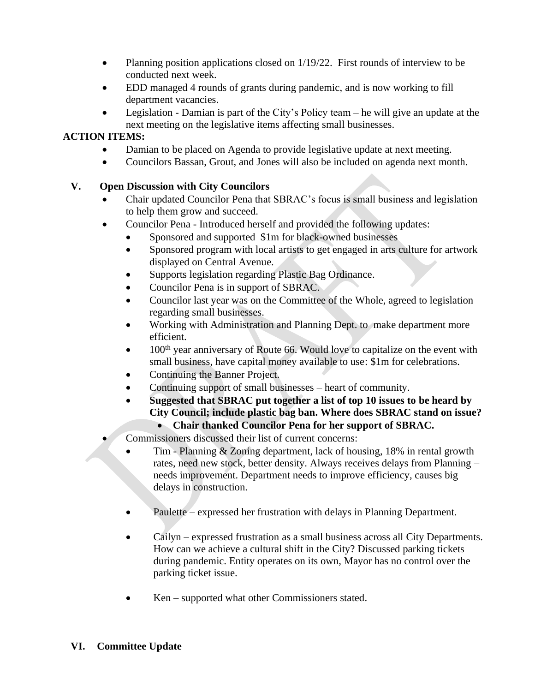- Planning position applications closed on  $1/19/22$ . First rounds of interview to be conducted next week.
- EDD managed 4 rounds of grants during pandemic, and is now working to fill department vacancies.
- Legislation Damian is part of the City's Policy team he will give an update at the next meeting on the legislative items affecting small businesses.

# **ACTION ITEMS:**

- Damian to be placed on Agenda to provide legislative update at next meeting.
- Councilors Bassan, Grout, and Jones will also be included on agenda next month.

# **V. Open Discussion with City Councilors**

- Chair updated Councilor Pena that SBRAC's focus is small business and legislation to help them grow and succeed.
- Councilor Pena Introduced herself and provided the following updates:
	- Sponsored and supported \$1m for black-owned businesses
	- Sponsored program with local artists to get engaged in arts culture for artwork displayed on Central Avenue.
	- Supports legislation regarding Plastic Bag Ordinance.
	- Councilor Pena is in support of SBRAC.
	- Councilor last year was on the Committee of the Whole, agreed to legislation regarding small businesses.
	- Working with Administration and Planning Dept. to make department more efficient.
	- 100<sup>th</sup> year anniversary of Route 66. Would love to capitalize on the event with small business, have capital money available to use: \$1m for celebrations.
	- Continuing the Banner Project.
	- Continuing support of small businesses heart of community.
	- **Suggested that SBRAC put together a list of top 10 issues to be heard by City Council; include plastic bag ban. Where does SBRAC stand on issue?** 
		- **Chair thanked Councilor Pena for her support of SBRAC.**
- Commissioners discussed their list of current concerns:
	- Tim Planning & Zoning department, lack of housing, 18% in rental growth rates, need new stock, better density. Always receives delays from Planning – needs improvement. Department needs to improve efficiency, causes big delays in construction.
	- Paulette expressed her frustration with delays in Planning Department.
	- Cailyn expressed frustration as a small business across all City Departments. How can we achieve a cultural shift in the City? Discussed parking tickets during pandemic. Entity operates on its own, Mayor has no control over the parking ticket issue.
	- Ken supported what other Commissioners stated.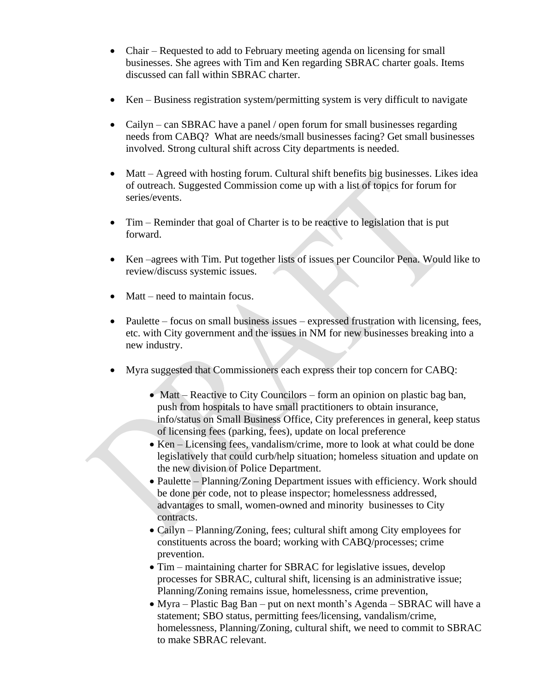- Chair Requested to add to February meeting agenda on licensing for small businesses. She agrees with Tim and Ken regarding SBRAC charter goals. Items discussed can fall within SBRAC charter.
- Ken Business registration system/permitting system is very difficult to navigate
- Cailyn can SBRAC have a panel / open forum for small businesses regarding needs from CABQ? What are needs/small businesses facing? Get small businesses involved. Strong cultural shift across City departments is needed.
- Matt Agreed with hosting forum. Cultural shift benefits big businesses. Likes idea of outreach. Suggested Commission come up with a list of topics for forum for series/events.
- Tim Reminder that goal of Charter is to be reactive to legislation that is put forward.
- Ken –agrees with Tim. Put together lists of issues per Councilor Pena. Would like to review/discuss systemic issues.
- Matt need to maintain focus.
- Paulette focus on small business issues expressed frustration with licensing, fees, etc. with City government and the issues in NM for new businesses breaking into a new industry.
- Myra suggested that Commissioners each express their top concern for CABQ:
	- Matt Reactive to City Councilors form an opinion on plastic bag ban, push from hospitals to have small practitioners to obtain insurance, info/status on Small Business Office, City preferences in general, keep status of licensing fees (parking, fees), update on local preference
	- Ken Licensing fees, vandalism/crime, more to look at what could be done legislatively that could curb/help situation; homeless situation and update on the new division of Police Department.
	- Paulette Planning/Zoning Department issues with efficiency. Work should be done per code, not to please inspector; homelessness addressed, advantages to small, women-owned and minority businesses to City contracts.
	- Cailyn Planning/Zoning, fees; cultural shift among City employees for constituents across the board; working with CABQ/processes; crime prevention.
	- Tim maintaining charter for SBRAC for legislative issues, develop processes for SBRAC, cultural shift, licensing is an administrative issue; Planning/Zoning remains issue, homelessness, crime prevention,
	- Myra Plastic Bag Ban put on next month's Agenda SBRAC will have a statement; SBO status, permitting fees/licensing, vandalism/crime, homelessness, Planning/Zoning, cultural shift, we need to commit to SBRAC to make SBRAC relevant.